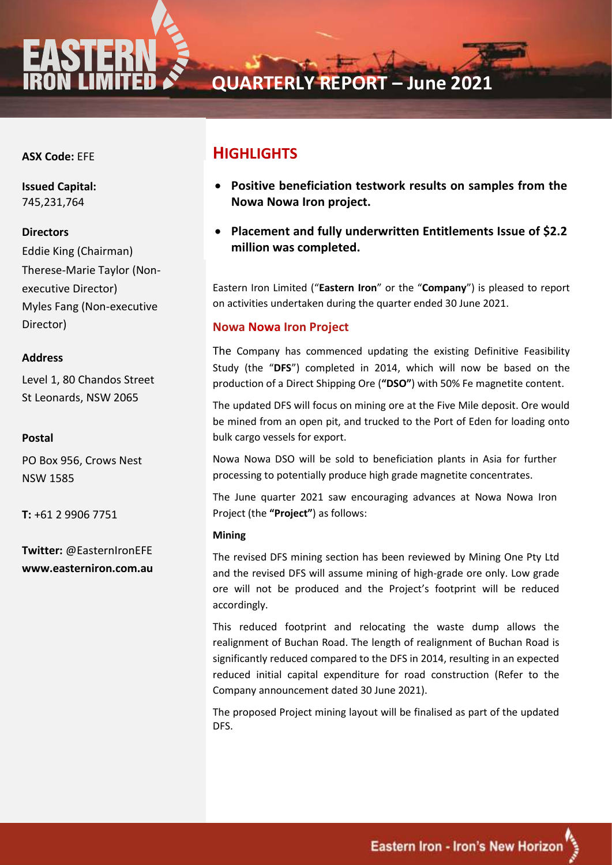

**QUARTERLY REPORT – June 2021**

## **ASX Code:** EFE

**ASX Code:** EFE 745,231,764 **Issued Capital:**

#### **Issued Capital: Directors**

**Eddie King (Chairman)** Therese-Marie Taylor (Non-**Myles Fang (Non-executive** Director) executive Director)

#### Greg De Ross - Managing Director **Address** Ivo Polovineo - Non-Expediation - Non-Expediation - Non-Expediation - Non-Expediation - Non-Expediation - Non-

Level 1, 80 Chandos Street  $St$  Loopards - NCW 2065 St Leonards, NSW 2065

#### **Investor and Media Contact:** Postal

PO Box 956, Crows Nest  $\frac{1}{2}$ NSW 1585

 $T: 161, 20006, 7751$ **T:** +61 2 9906 7751

**Postal Twitter:** @EasternIronEFE PO Box 956, Crows Nest www.easterniron.com.au

## **HIGHLIGHTS**

- **Positive beneficiation testwork results on samples from the Nowa Nowa Iron project.**
- **Placement and fully underwritten Entitlements Issue of \$2.2 million was completed.**

Eastern Iron Limited ("**Eastern Iron**" or the "**Company**") is pleased to report on activities undertaken during the quarter ended 30 June 2021.

### **Nowa Nowa Iron Project**

The Company has commenced updating the existing Definitive Feasibility Study (the "**DFS**") completed in 2014, which will now be based on the production of a Direct Shipping Ore (**"DSO"**) with 50% Fe magnetite content.

The updated DFS will focus on mining ore at the Five Mile deposit. Ore would be mined from an open pit, and trucked to the Port of Eden for loading onto bulk cargo vessels for export.

Nowa Nowa DSO will be sold to beneficiation plants in Asia for further processing to potentially produce high grade magnetite concentrates.

The June quarter 2021 saw encouraging advances at Nowa Nowa Iron Project (the **"Project"**) as follows:

#### **Mining**

The revised DFS mining section has been reviewed by Mining One Pty Ltd and the revised DFS will assume mining of high-grade ore only. Low grade ore will not be produced and the Project's footprint will be reduced accordingly.

This reduced footprint and relocating the waste dump allows the realignment of Buchan Road. The length of realignment of Buchan Road is significantly reduced compared to the DFS in 2014, resulting in an expected reduced initial capital expenditure for road construction (Refer to the Company announcement dated 30 June 2021).

The proposed Project mining layout will be finalised as part of the updated DFS.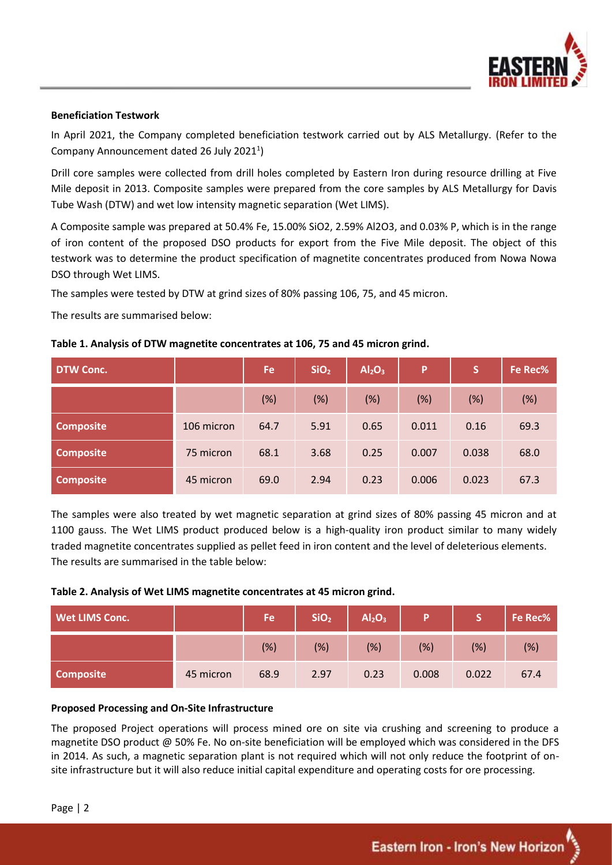

### **Beneficiation Testwork**

In April 2021, the Company completed beneficiation testwork carried out by ALS Metallurgy. (Refer to the Company Announcement dated 26 July 2021<sup>1</sup>)

Drill core samples were collected from drill holes completed by Eastern Iron during resource drilling at Five Mile deposit in 2013. Composite samples were prepared from the core samples by ALS Metallurgy for Davis Tube Wash (DTW) and wet low intensity magnetic separation (Wet LIMS).

A Composite sample was prepared at 50.4% Fe, 15.00% SiO2, 2.59% Al2O3, and 0.03% P, which is in the range of iron content of the proposed DSO products for export from the Five Mile deposit. The object of this testwork was to determine the product specification of magnetite concentrates produced from Nowa Nowa DSO through Wet LIMS.

The samples were tested by DTW at grind sizes of 80% passing 106, 75, and 45 micron.

The results are summarised below:

## **Table 1. Analysis of DTW magnetite concentrates at 106, 75 and 45 micron grind.**

| DTW Conc.        |            | Fe   | SiO <sub>2</sub> | Al <sub>2</sub> O <sub>3</sub> | P     | S     | Fe Rec% |
|------------------|------------|------|------------------|--------------------------------|-------|-------|---------|
|                  |            | (%)  | (%)              | (%)                            | (%)   | (%)   | (%)     |
| <b>Composite</b> | 106 micron | 64.7 | 5.91             | 0.65                           | 0.011 | 0.16  | 69.3    |
| <b>Composite</b> | 75 micron  | 68.1 | 3.68             | 0.25                           | 0.007 | 0.038 | 68.0    |
| <b>Composite</b> | 45 micron  | 69.0 | 2.94             | 0.23                           | 0.006 | 0.023 | 67.3    |

The samples were also treated by wet magnetic separation at grind sizes of 80% passing 45 micron and at 1100 gauss. The Wet LIMS product produced below is a high-quality iron product similar to many widely traded magnetite concentrates supplied as pellet feed in iron content and the level of deleterious elements. The results are summarised in the table below:

#### **Table 2. Analysis of Wet LIMS magnetite concentrates at 45 micron grind.**

| <b>Wet LIMS Conc.</b> |           | Fe   | SiO <sub>2</sub> | Al <sub>2</sub> O <sub>3</sub> | Þ     | C.    | Fe Rec% |
|-----------------------|-----------|------|------------------|--------------------------------|-------|-------|---------|
|                       |           | (%)  | (%)              | (%)                            | (%)   | (%)   | (%)     |
| <b>Composite</b>      | 45 micron | 68.9 | 2.97             | 0.23                           | 0.008 | 0.022 | 67.4    |

#### **Proposed Processing and On-Site Infrastructure**

The proposed Project operations will process mined ore on site via crushing and screening to produce a magnetite DSO product @ 50% Fe. No on-site beneficiation will be employed which was considered in the DFS in 2014. As such, a magnetic separation plant is not required which will not only reduce the footprint of onsite infrastructure but it will also reduce initial capital expenditure and operating costs for ore processing.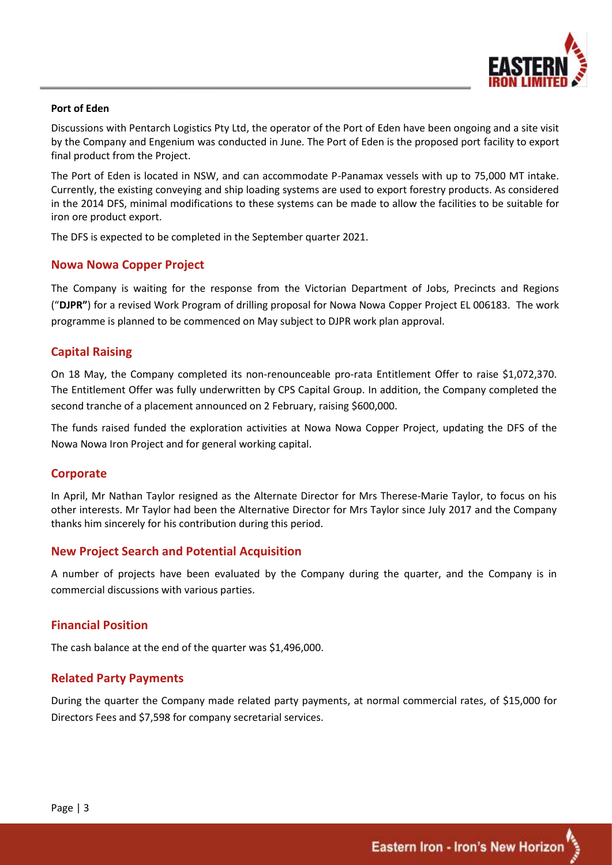

#### **Port of Eden**

Discussions with Pentarch Logistics Pty Ltd, the operator of the Port of Eden have been ongoing and a site visit by the Company and Engenium was conducted in June. The Port of Eden is the proposed port facility to export final product from the Project.

The Port of Eden is located in NSW, and can accommodate P-Panamax vessels with up to 75,000 MT intake. Currently, the existing conveying and ship loading systems are used to export forestry products. As considered in the 2014 DFS, minimal modifications to these systems can be made to allow the facilities to be suitable for iron ore product export.

The DFS is expected to be completed in the September quarter 2021.

## **Nowa Nowa Copper Project**

The Company is waiting for the response from the Victorian Department of Jobs, Precincts and Regions ("**DJPR"**) for a revised Work Program of drilling proposal for Nowa Nowa Copper Project EL 006183. The work programme is planned to be commenced on May subject to DJPR work plan approval.

## **Capital Raising**

On 18 May, the Company completed its non-renounceable pro-rata Entitlement Offer to raise \$1,072,370. The Entitlement Offer was fully underwritten by CPS Capital Group. In addition, the Company completed the second tranche of a placement announced on 2 February, raising \$600,000.

The funds raised funded the exploration activities at Nowa Nowa Copper Project, updating the DFS of the Nowa Nowa Iron Project and for general working capital.

## **Corporate**

In April, Mr Nathan Taylor resigned as the Alternate Director for Mrs Therese-Marie Taylor, to focus on his other interests. Mr Taylor had been the Alternative Director for Mrs Taylor since July 2017 and the Company thanks him sincerely for his contribution during this period.

## **New Project Search and Potential Acquisition**

A number of projects have been evaluated by the Company during the quarter, and the Company is in commercial discussions with various parties.

## **Financial Position**

The cash balance at the end of the quarter was \$1,496,000.

## **Related Party Payments**

During the quarter the Company made related party payments, at normal commercial rates, of \$15,000 for Directors Fees and \$7,598 for company secretarial services.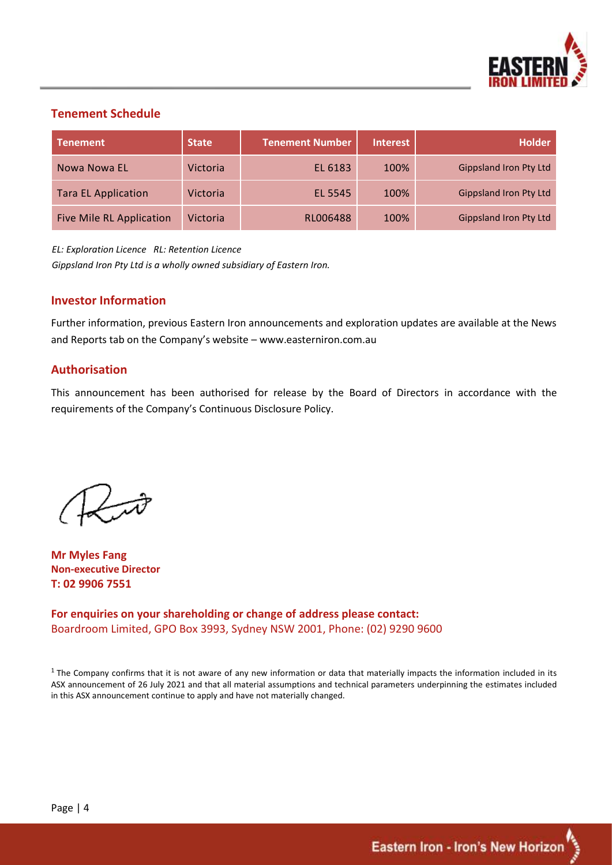

## **Tenement Schedule**

| <b>Tenement</b>                 | <b>State</b>    | <b>Tenement Number</b> | <b>Interest</b> | <b>Holder</b>                 |
|---------------------------------|-----------------|------------------------|-----------------|-------------------------------|
| Nowa Nowa EL                    | <b>Victoria</b> | EL 6183                | 100%            | <b>Gippsland Iron Pty Ltd</b> |
| <b>Tara EL Application</b>      | Victoria        | EL 5545                | 100%            | <b>Gippsland Iron Pty Ltd</b> |
| <b>Five Mile RL Application</b> | Victoria        | RL006488               | 100%            | <b>Gippsland Iron Pty Ltd</b> |

*EL: Exploration Licence RL: Retention Licence Gippsland Iron Pty Ltd is a wholly owned subsidiary of Eastern Iron.*

## **Investor Information**

Further information, previous Eastern Iron announcements and exploration updates are available at the News and Reports tab on the Company's website – [www.easterniron.com.au](http://www.easterniron.com.au/)

## **Authorisation**

This announcement has been authorised for release by the Board of Directors in accordance with the requirements of the Company's Continuous Disclosure Policy.

**Mr Myles Fang Non-executive Director T: 02 9906 7551**

**For enquiries on your shareholding or change of address please contact:** Boardroom Limited, GPO Box 3993, Sydney NSW 2001, Phone: (02) 9290 9600

 $1$  The Company confirms that it is not aware of any new information or data that materially impacts the information included in its ASX announcement of 26 July 2021 and that all material assumptions and technical parameters underpinning the estimates included in this ASX announcement continue to apply and have not materially changed.

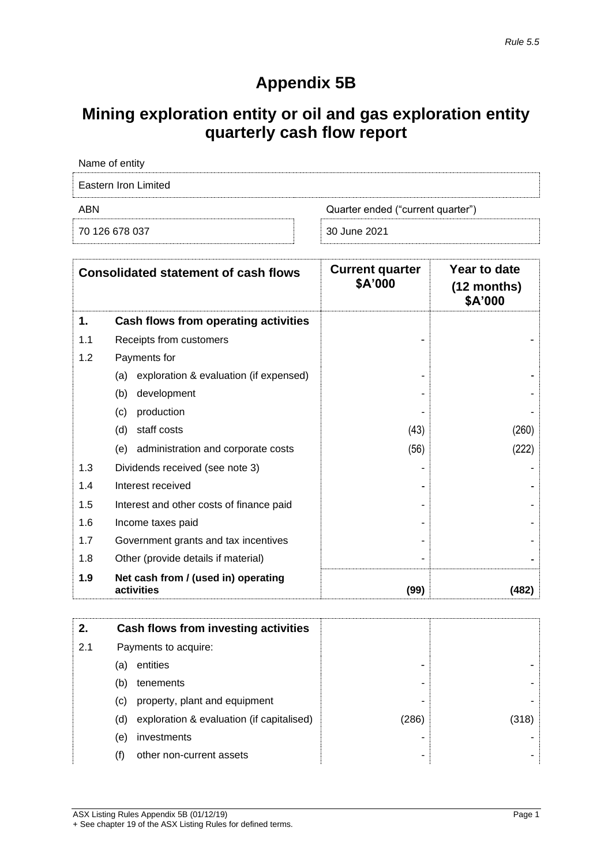# **Appendix 5B**

# **Mining exploration entity or oil and gas exploration entity quarterly cash flow report**

| Name of entity       |                                   |
|----------------------|-----------------------------------|
| Eastern Iron Limited |                                   |
| ABN                  | Quarter ended ("current quarter") |
| 70 126 678 037       | 30 June 2021                      |

|     | <b>Consolidated statement of cash flows</b>       | <b>Current quarter</b><br>\$A'000 | Year to date<br>$(12$ months)<br>\$A'000 |
|-----|---------------------------------------------------|-----------------------------------|------------------------------------------|
| 1.  | Cash flows from operating activities              |                                   |                                          |
| 1.1 | Receipts from customers                           |                                   |                                          |
| 1.2 | Payments for                                      |                                   |                                          |
|     | exploration & evaluation (if expensed)<br>(a)     |                                   |                                          |
|     | development<br>(b)                                |                                   |                                          |
|     | production<br>(c)                                 |                                   |                                          |
|     | staff costs<br>(d)                                | (43)                              | (260)                                    |
|     | administration and corporate costs<br>(e)         | (56)                              | (222)                                    |
| 1.3 | Dividends received (see note 3)                   |                                   |                                          |
| 1.4 | Interest received                                 |                                   |                                          |
| 1.5 | Interest and other costs of finance paid          |                                   |                                          |
| 1.6 | Income taxes paid                                 |                                   |                                          |
| 1.7 | Government grants and tax incentives              |                                   |                                          |
| 1.8 | Other (provide details if material)               |                                   |                                          |
| 1.9 | Net cash from / (used in) operating<br>activities | (99)                              | (482)                                    |

| 2.  |     | Cash flows from investing activities      |       |       |
|-----|-----|-------------------------------------------|-------|-------|
| 2.1 |     | Payments to acquire:                      |       |       |
|     | (a) | entities                                  | -     |       |
|     | (b) | tenements                                 | -     |       |
|     | (C) | property, plant and equipment             |       |       |
|     | (d) | exploration & evaluation (if capitalised) | (286) | (318) |
|     | (e) | investments                               | ۰     |       |
|     | (f) | other non-current assets                  | ۰     |       |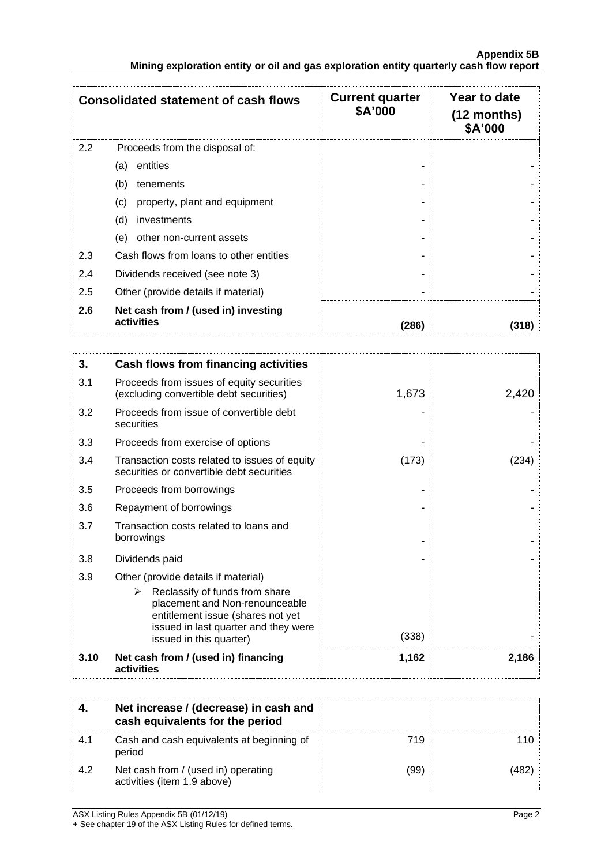|     | <b>Consolidated statement of cash flows</b>       | <b>Current quarter</b><br>\$A'000 | Year to date<br>$(12$ months)<br>\$A'000 |
|-----|---------------------------------------------------|-----------------------------------|------------------------------------------|
| 2.2 | Proceeds from the disposal of:                    |                                   |                                          |
|     | entities<br>(a)                                   |                                   |                                          |
|     | (b)<br>tenements                                  |                                   |                                          |
|     | property, plant and equipment<br>(c)              |                                   |                                          |
|     | (d)<br>investments                                |                                   |                                          |
|     | other non-current assets<br>(e)                   |                                   |                                          |
| 2.3 | Cash flows from loans to other entities           |                                   |                                          |
| 2.4 | Dividends received (see note 3)                   |                                   |                                          |
| 2.5 | Other (provide details if material)               |                                   |                                          |
| 2.6 | Net cash from / (used in) investing<br>activities | (286)                             | (318)                                    |

| 3.   | Cash flows from financing activities                                                                                                                                                                                 |       |       |
|------|----------------------------------------------------------------------------------------------------------------------------------------------------------------------------------------------------------------------|-------|-------|
| 3.1  | Proceeds from issues of equity securities<br>(excluding convertible debt securities)                                                                                                                                 | 1,673 | 2,420 |
| 3.2  | Proceeds from issue of convertible debt<br>securities                                                                                                                                                                |       |       |
| 3.3  | Proceeds from exercise of options                                                                                                                                                                                    |       |       |
| 3.4  | Transaction costs related to issues of equity<br>securities or convertible debt securities                                                                                                                           | (173) | 1234  |
| 3.5  | Proceeds from borrowings                                                                                                                                                                                             |       |       |
| 3.6  | Repayment of borrowings                                                                                                                                                                                              |       |       |
| 3.7  | Transaction costs related to loans and<br>borrowings                                                                                                                                                                 |       |       |
| 3.8  | Dividends paid                                                                                                                                                                                                       |       |       |
| 3.9  | Other (provide details if material)<br>Reclassify of funds from share<br>➤<br>placement and Non-renounceable<br>entitlement issue (shares not yet<br>issued in last quarter and they were<br>issued in this quarter) | (338) |       |
| 3.10 | Net cash from / (used in) financing<br>activities                                                                                                                                                                    | 1,162 | 2,186 |

|      | Net increase / (decrease) in cash and<br>cash equivalents for the period |      |  |
|------|--------------------------------------------------------------------------|------|--|
| -4.1 | Cash and cash equivalents at beginning of<br>period                      | 719  |  |
| 4.2  | Net cash from / (used in) operating<br>activities (item 1.9 above)       | (99) |  |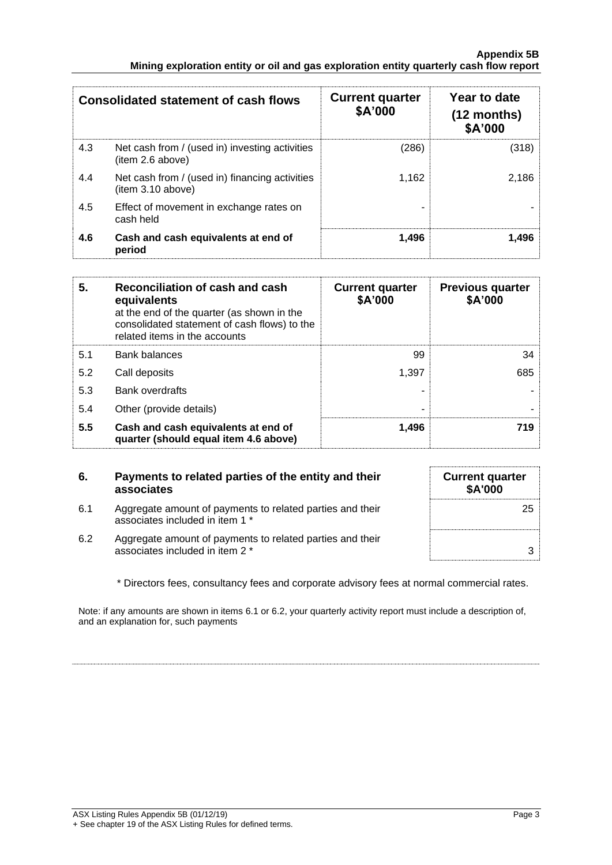#### **Appendix 5B Mining exploration entity or oil and gas exploration entity quarterly cash flow report**

|     | <b>Consolidated statement of cash flows</b>                        | <b>Current quarter</b><br>\$A'000 | Year to date<br>$(12$ months)<br>\$A'000 |
|-----|--------------------------------------------------------------------|-----------------------------------|------------------------------------------|
| 4.3 | Net cash from / (used in) investing activities<br>(item 2.6 above) | (286)                             | (318)                                    |
| 4.4 | Net cash from / (used in) financing activities<br>item 3.10 above) | 1.162                             | 2.186                                    |
| 4.5 | Effect of movement in exchange rates on<br>cash held               |                                   |                                          |
| 4.6 | Cash and cash equivalents at end of<br>period                      | 1,496                             | 1.496                                    |

| 5.  | Reconciliation of cash and cash<br>equivalents<br>at the end of the quarter (as shown in the<br>consolidated statement of cash flows) to the<br>related items in the accounts | <b>Current quarter</b><br>\$A'000 | <b>Previous quarter</b><br>\$A'000 |
|-----|-------------------------------------------------------------------------------------------------------------------------------------------------------------------------------|-----------------------------------|------------------------------------|
| 5.1 | <b>Bank balances</b>                                                                                                                                                          | 99                                | 34                                 |
| 5.2 | Call deposits                                                                                                                                                                 | 1.397                             | 685                                |
| 5.3 | <b>Bank overdrafts</b>                                                                                                                                                        |                                   |                                    |
| 5.4 | Other (provide details)                                                                                                                                                       |                                   |                                    |
| 5.5 | Cash and cash equivalents at end of<br>quarter (should equal item 4.6 above)                                                                                                  | 1,496                             | 719                                |

## **6. Payments to related parties of the entity and their associates**

- 6.1 Aggregate amount of payments to related parties and their associates included in item 1 \*
- 6.2 Aggregate amount of payments to related parties and their associates included in item 2 \* 3

| <b>Current quarter</b><br>\$A'000 |  |
|-----------------------------------|--|
| 25                                |  |
| 3                                 |  |

\* Directors fees, consultancy fees and corporate advisory fees at normal commercial rates.

Note: if any amounts are shown in items 6.1 or 6.2, your quarterly activity report must include a description of, and an explanation for, such payments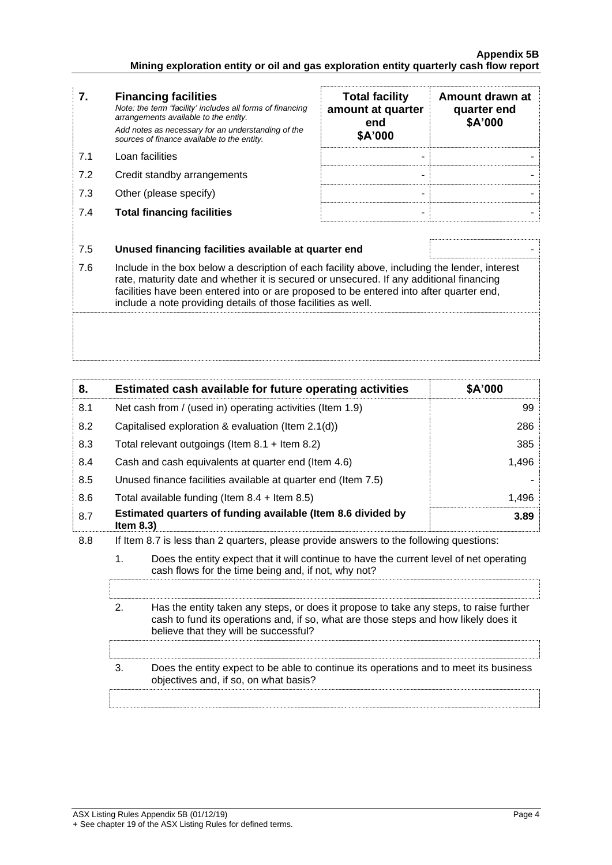## **Appendix 5B Mining exploration entity or oil and gas exploration entity quarterly cash flow report**

| 7.  | <b>Financing facilities</b><br>Note: the term "facility' includes all forms of financing<br>arrangements available to the entity.<br>Add notes as necessary for an understanding of the<br>sources of finance available to the entity. | <b>Total facility</b><br>amount at quarter<br>end<br>\$A'000 | Amount drawn at<br>quarter end<br>\$A'000 |
|-----|----------------------------------------------------------------------------------------------------------------------------------------------------------------------------------------------------------------------------------------|--------------------------------------------------------------|-------------------------------------------|
| 7.1 | Loan facilities                                                                                                                                                                                                                        | -                                                            |                                           |
| 7.2 | Credit standby arrangements                                                                                                                                                                                                            | -                                                            |                                           |
| 7.3 | Other (please specify)                                                                                                                                                                                                                 |                                                              |                                           |
| 7.4 | <b>Total financing facilities</b>                                                                                                                                                                                                      |                                                              |                                           |
|     |                                                                                                                                                                                                                                        |                                                              |                                           |
| 7 F | Ilnused financing facilities available at quarter end                                                                                                                                                                                  |                                                              |                                           |

7.5 **Unused financing facilities available at quarter end** - 7.6 Include in the box below a description of each facility above, including the lender, interest rate, maturity date and whether it is secured or unsecured. If any additional financing facilities have been entered into or are proposed to be entered into after quarter end, include a note providing details of those facilities as well.

| 8.  | Estimated cash available for future operating activities                                                                                                                                                                               | \$A'000 |  |  |
|-----|----------------------------------------------------------------------------------------------------------------------------------------------------------------------------------------------------------------------------------------|---------|--|--|
| 8.1 | Net cash from / (used in) operating activities (Item 1.9)                                                                                                                                                                              | 99      |  |  |
| 8.2 | Capitalised exploration & evaluation (Item 2.1(d))                                                                                                                                                                                     | 286     |  |  |
| 8.3 | Total relevant outgoings (Item 8.1 + Item 8.2)                                                                                                                                                                                         | 385     |  |  |
| 8.4 | Cash and cash equivalents at quarter end (Item 4.6)                                                                                                                                                                                    | 1,496   |  |  |
| 8.5 | Unused finance facilities available at quarter end (Item 7.5)                                                                                                                                                                          |         |  |  |
| 8.6 | Total available funding (Item $8.4$ + Item $8.5$ )                                                                                                                                                                                     |         |  |  |
| 8.7 | Estimated quarters of funding available (Item 8.6 divided by<br>3.89<br>Item $8.3$ )                                                                                                                                                   |         |  |  |
| 8.8 | If Item 8.7 is less than 2 quarters, please provide answers to the following questions:                                                                                                                                                |         |  |  |
|     | 1.<br>Does the entity expect that it will continue to have the current level of net operating<br>cash flows for the time being and, if not, why not?                                                                                   |         |  |  |
|     |                                                                                                                                                                                                                                        |         |  |  |
|     | $\mathbf{2}$<br>Has the entity taken any steps, or does it propose to take any steps, to raise further<br>cash to fund its operations and, if so, what are those steps and how likely does it<br>believe that they will be successful? |         |  |  |
|     | 3.<br>Does the entity expect to be able to continue its operations and to meet its business                                                                                                                                            |         |  |  |
|     | objectives and, if so, on what basis?                                                                                                                                                                                                  |         |  |  |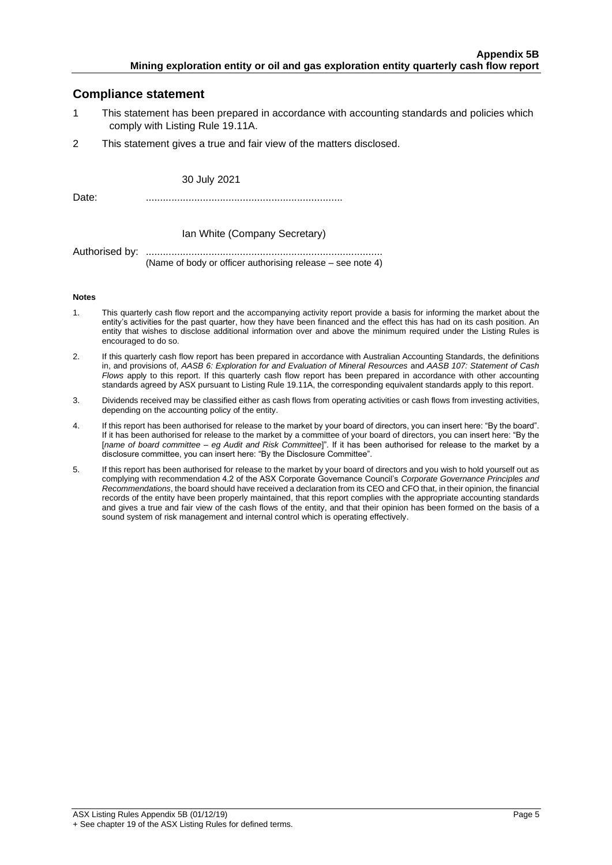## **Compliance statement**

- 1 This statement has been prepared in accordance with accounting standards and policies which comply with Listing Rule 19.11A.
- 2 This statement gives a true and fair view of the matters disclosed.

30 July 2021

Date: .....................................................................

#### Ian White (Company Secretary)

Authorised by: ................................................................................... (Name of body or officer authorising release – see note 4)

#### **Notes**

- 1. This quarterly cash flow report and the accompanying activity report provide a basis for informing the market about the entity's activities for the past quarter, how they have been financed and the effect this has had on its cash position. An entity that wishes to disclose additional information over and above the minimum required under the Listing Rules is encouraged to do so.
- 2. If this quarterly cash flow report has been prepared in accordance with Australian Accounting Standards, the definitions in, and provisions of, *AASB 6: Exploration for and Evaluation of Mineral Resources* and *AASB 107: Statement of Cash Flows* apply to this report. If this quarterly cash flow report has been prepared in accordance with other accounting standards agreed by ASX pursuant to Listing Rule 19.11A, the corresponding equivalent standards apply to this report.
- 3. Dividends received may be classified either as cash flows from operating activities or cash flows from investing activities, depending on the accounting policy of the entity.
- 4. If this report has been authorised for release to the market by your board of directors, you can insert here: "By the board". If it has been authorised for release to the market by a committee of your board of directors, you can insert here: "By the [*name of board committee* – *eg Audit and Risk Committee*]". If it has been authorised for release to the market by a disclosure committee, you can insert here: "By the Disclosure Committee".
- 5. If this report has been authorised for release to the market by your board of directors and you wish to hold yourself out as complying with recommendation 4.2 of the ASX Corporate Governance Council's *Corporate Governance Principles and Recommendations*, the board should have received a declaration from its CEO and CFO that, in their opinion, the financial records of the entity have been properly maintained, that this report complies with the appropriate accounting standards and gives a true and fair view of the cash flows of the entity, and that their opinion has been formed on the basis of a sound system of risk management and internal control which is operating effectively.